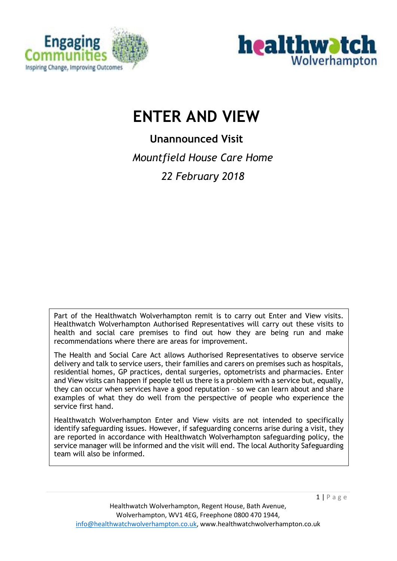



# **ENTER AND VIEW**

**Unannounced Visit**  *Mountfield House Care Home 22 February 2018* 

Part of the Healthwatch Wolverhampton remit is to carry out Enter and View visits. Healthwatch Wolverhampton Authorised Representatives will carry out these visits to health and social care premises to find out how they are being run and make recommendations where there are areas for improvement.

The Health and Social Care Act allows Authorised Representatives to observe service delivery and talk to service users, their families and carers on premises such as hospitals, residential homes, GP practices, dental surgeries, optometrists and pharmacies. Enter and View visits can happen if people tell us there is a problem with a service but, equally, they can occur when services have a good reputation – so we can learn about and share examples of what they do well from the perspective of people who experience the service first hand.

Healthwatch Wolverhampton Enter and View visits are not intended to specifically identify safeguarding issues. However, if safeguarding concerns arise during a visit, they are reported in accordance with Healthwatch Wolverhampton safeguarding policy, the service manager will be informed and the visit will end. The local Authority Safeguarding team will also be informed.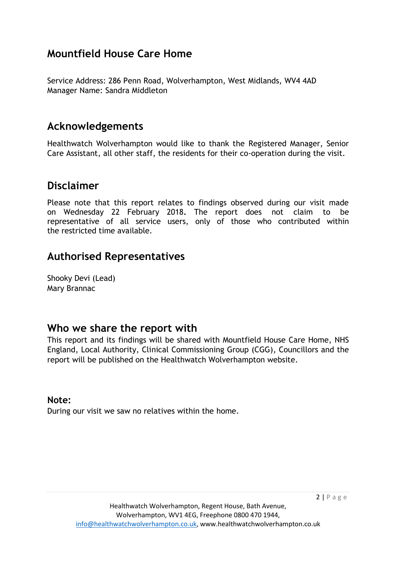# **Mountfield House Care Home**

Service Address: 286 Penn Road, Wolverhampton, West Midlands, WV4 4AD Manager Name: Sandra Middleton

# **Acknowledgements**

Healthwatch Wolverhampton would like to thank the Registered Manager, Senior Care Assistant, all other staff, the residents for their co-operation during the visit.

## **Disclaimer**

Please note that this report relates to findings observed during our visit made on Wednesday 22 February 2018**.** The report does not claim to be representative of all service users, only of those who contributed within the restricted time available.

# **Authorised Representatives**

Shooky Devi (Lead) Mary Brannac

## **Who we share the report with**

This report and its findings will be shared with Mountfield House Care Home, NHS England, Local Authority, Clinical Commissioning Group (CGG), Councillors and the report will be published on the Healthwatch Wolverhampton website.

#### **Note:**

During our visit we saw no relatives within the home.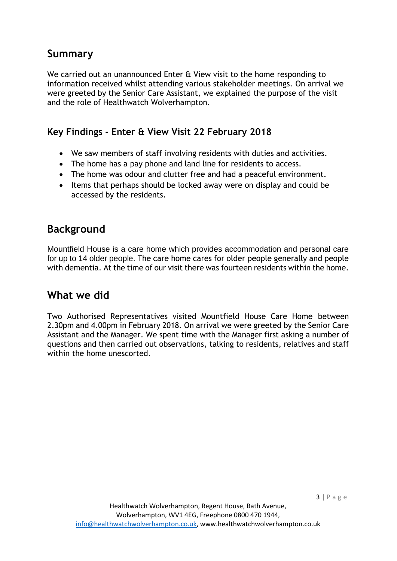# **Summary**

We carried out an unannounced Enter & View visit to the home responding to information received whilst attending various stakeholder meetings. On arrival we were greeted by the Senior Care Assistant, we explained the purpose of the visit and the role of Healthwatch Wolverhampton.

## **Key Findings - Enter & View Visit 22 February 2018**

- We saw members of staff involving residents with duties and activities.
- The home has a pay phone and land line for residents to access.
- The home was odour and clutter free and had a peaceful environment.
- Items that perhaps should be locked away were on display and could be accessed by the residents.

# **Background**

Mountfield House is a care home which provides accommodation and personal care for up to 14 older people. The care home cares for older people generally and people with dementia. At the time of our visit there was fourteen residents within the home.

# **What we did**

Two Authorised Representatives visited Mountfield House Care Home between 2.30pm and 4.00pm in February 2018. On arrival we were greeted by the Senior Care Assistant and the Manager. We spent time with the Manager first asking a number of questions and then carried out observations, talking to residents, relatives and staff within the home unescorted.

3 | P a g e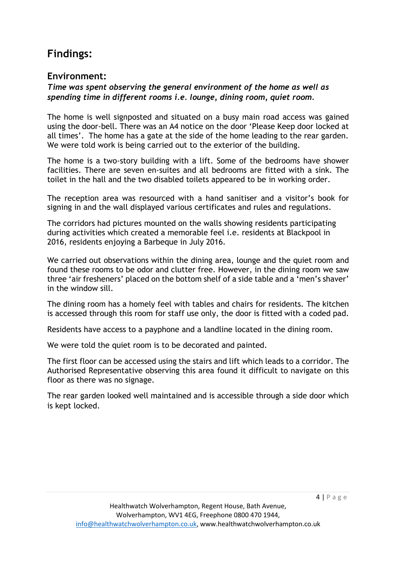# **Findings:**

## **Environment:**

*Time was spent observing the general environment of the home as well as spending time in different rooms i.e. lounge, dining room, quiet room.*

The home is well signposted and situated on a busy main road access was gained using the door-bell. There was an A4 notice on the door 'Please Keep door locked at all times'. The home has a gate at the side of the home leading to the rear garden. We were told work is being carried out to the exterior of the building.

The home is a two-story building with a lift. Some of the bedrooms have shower facilities. There are seven en-suites and all bedrooms are fitted with a sink. The toilet in the hall and the two disabled toilets appeared to be in working order.

The reception area was resourced with a hand sanitiser and a visitor's book for signing in and the wall displayed various certificates and rules and regulations.

The corridors had pictures mounted on the walls showing residents participating during activities which created a memorable feel i.e. residents at Blackpool in 2016, residents enjoying a Barbeque in July 2016.

We carried out observations within the dining area, lounge and the quiet room and found these rooms to be odor and clutter free. However, in the dining room we saw three 'air fresheners' placed on the bottom shelf of a side table and a 'men's shaver' in the window sill.

The dining room has a homely feel with tables and chairs for residents. The kitchen is accessed through this room for staff use only, the door is fitted with a coded pad.

Residents have access to a payphone and a landline located in the dining room.

We were told the quiet room is to be decorated and painted.

The first floor can be accessed using the stairs and lift which leads to a corridor. The Authorised Representative observing this area found it difficult to navigate on this floor as there was no signage.

The rear garden looked well maintained and is accessible through a side door which is kept locked.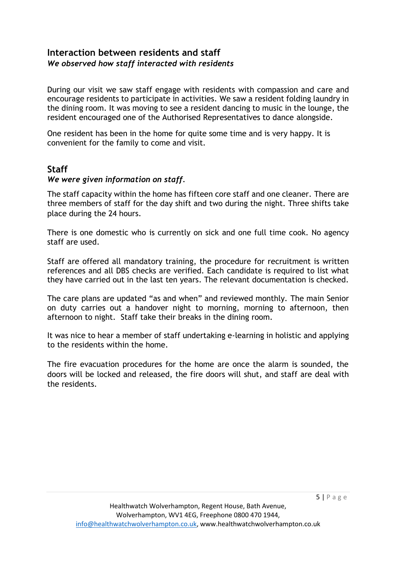#### **Interaction between residents and staff** *We observed how staff interacted with residents*

During our visit we saw staff engage with residents with compassion and care and encourage residents to participate in activities. We saw a resident folding laundry in the dining room. It was moving to see a resident dancing to music in the lounge, the resident encouraged one of the Authorised Representatives to dance alongside.

One resident has been in the home for quite some time and is very happy. It is convenient for the family to come and visit.

#### **Staff**

#### *We were given information on staff.*

The staff capacity within the home has fifteen core staff and one cleaner. There are three members of staff for the day shift and two during the night. Three shifts take place during the 24 hours.

There is one domestic who is currently on sick and one full time cook. No agency staff are used.

Staff are offered all mandatory training, the procedure for recruitment is written references and all DBS checks are verified. Each candidate is required to list what they have carried out in the last ten years. The relevant documentation is checked.

The care plans are updated "as and when" and reviewed monthly. The main Senior on duty carries out a handover night to morning, morning to afternoon, then afternoon to night. Staff take their breaks in the dining room.

It was nice to hear a member of staff undertaking e-learning in holistic and applying to the residents within the home.

The fire evacuation procedures for the home are once the alarm is sounded, the doors will be locked and released, the fire doors will shut, and staff are deal with the residents.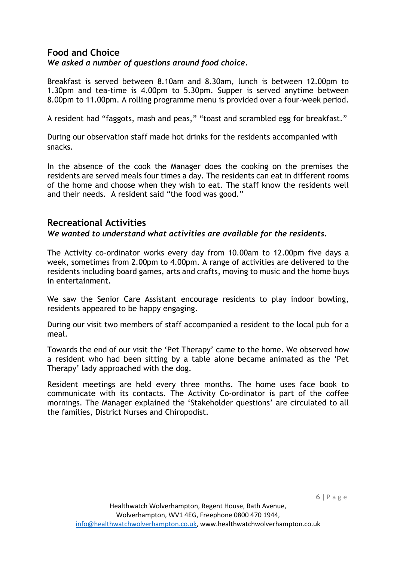#### **Food and Choice**  *We asked a number of questions around food choice.*

Breakfast is served between 8.10am and 8.30am, lunch is between 12.00pm to 1.30pm and tea-time is 4.00pm to 5.30pm. Supper is served anytime between 8.00pm to 11.00pm. A rolling programme menu is provided over a four-week period.

A resident had "faggots, mash and peas," "toast and scrambled egg for breakfast."

During our observation staff made hot drinks for the residents accompanied with snacks.

In the absence of the cook the Manager does the cooking on the premises the residents are served meals four times a day. The residents can eat in different rooms of the home and choose when they wish to eat. The staff know the residents well and their needs. A resident said "the food was good."

### **Recreational Activities**

*We wanted to understand what activities are available for the residents.*

The Activity co-ordinator works every day from 10.00am to 12.00pm five days a week, sometimes from 2.00pm to 4.00pm. A range of activities are delivered to the residents including board games, arts and crafts, moving to music and the home buys in entertainment.

We saw the Senior Care Assistant encourage residents to play indoor bowling, residents appeared to be happy engaging.

During our visit two members of staff accompanied a resident to the local pub for a meal.

Towards the end of our visit the 'Pet Therapy' came to the home. We observed how a resident who had been sitting by a table alone became animated as the 'Pet Therapy' lady approached with the dog.

Resident meetings are held every three months. The home uses face book to communicate with its contacts. The Activity Co-ordinator is part of the coffee mornings. The Manager explained the 'Stakeholder questions' are circulated to all the families, District Nurses and Chiropodist.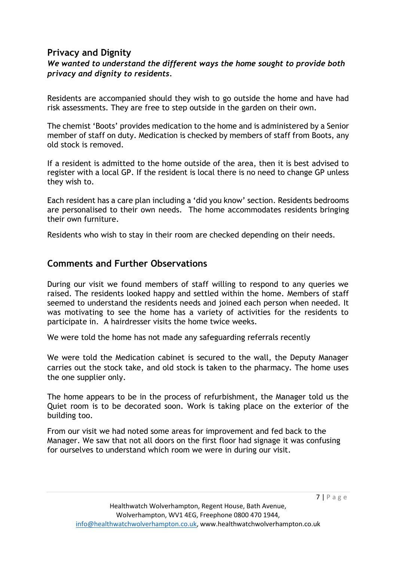## **Privacy and Dignity**

#### *We wanted to understand the different ways the home sought to provide both privacy and dignity to residents.*

Residents are accompanied should they wish to go outside the home and have had risk assessments. They are free to step outside in the garden on their own.

The chemist 'Boots' provides medication to the home and is administered by a Senior member of staff on duty. Medication is checked by members of staff from Boots, any old stock is removed.

If a resident is admitted to the home outside of the area, then it is best advised to register with a local GP. If the resident is local there is no need to change GP unless they wish to.

Each resident has a care plan including a 'did you know' section. Residents bedrooms are personalised to their own needs. The home accommodates residents bringing their own furniture.

Residents who wish to stay in their room are checked depending on their needs.

## **Comments and Further Observations**

During our visit we found members of staff willing to respond to any queries we raised. The residents looked happy and settled within the home. Members of staff seemed to understand the residents needs and joined each person when needed. It was motivating to see the home has a variety of activities for the residents to participate in. A hairdresser visits the home twice weeks.

We were told the home has not made any safeguarding referrals recently

We were told the Medication cabinet is secured to the wall, the Deputy Manager carries out the stock take, and old stock is taken to the pharmacy. The home uses the one supplier only.

The home appears to be in the process of refurbishment, the Manager told us the Quiet room is to be decorated soon. Work is taking place on the exterior of the building too.

From our visit we had noted some areas for improvement and fed back to the Manager. We saw that not all doors on the first floor had signage it was confusing for ourselves to understand which room we were in during our visit.